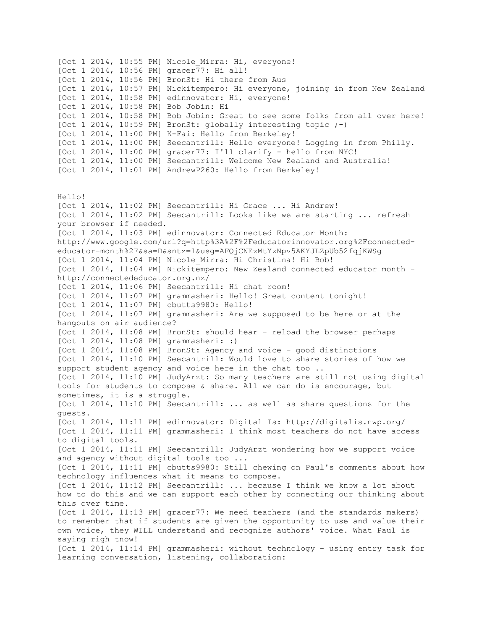[Oct 1 2014, 10:55 PM] Nicole Mirra: Hi, everyone! [Oct 1 2014, 10:56 PM]  $qracer\overline{77}$ : Hi all! [Oct 1 2014, 10:56 PM] BronSt: Hi there from Aus [Oct 1 2014, 10:57 PM] Nickitempero: Hi everyone, joining in from New Zealand [Oct 1 2014, 10:58 PM] edinnovator: Hi, everyone! [Oct 1 2014, 10:58 PM] Bob Jobin: Hi [Oct 1 2014, 10:58 PM] Bob Jobin: Great to see some folks from all over here! [Oct 1 2014, 10:59 PM] BronSt: globally interesting topic ;-) [Oct 1 2014, 11:00 PM] K-Fai: Hello from Berkeley! [Oct 1 2014, 11:00 PM] Seecantrill: Hello everyone! Logging in from Philly. [Oct 1 2014, 11:00 PM] gracer77: I'll clarify - hello from NYC! [Oct 1 2014, 11:00 PM] Seecantrill: Welcome New Zealand and Australia! [Oct 1 2014, 11:01 PM] AndrewP260: Hello from Berkeley! Hello! [Oct 1 2014, 11:02 PM] Seecantrill: Hi Grace ... Hi Andrew! [Oct 1 2014, 11:02 PM] Seecantrill: Looks like we are starting ... refresh your browser if needed. [Oct 1 2014, 11:03 PM] edinnovator: Connected Educator Month: http://www.google.com/url?q=http%3A%2F%2Feducatorinnovator.org%2Fconnectededucator-month%2F&sa=D&sntz=1&usg=AFQjCNEzMtYzNpv5AKYJLZpUb52fqjKWSg [Oct 1 2014, 11:04 PM] Nicole\_Mirra: Hi Christina! Hi Bob! [Oct 1 2014, 11:04 PM] Nickitempero: New Zealand connected educator month http://connectededucator.org.nz/ [Oct 1 2014, 11:06 PM] Seecantrill: Hi chat room! [Oct 1 2014, 11:07 PM] grammasheri: Hello! Great content tonight! [Oct 1 2014, 11:07 PM] cbutts9980: Hello! [Oct 1 2014, 11:07 PM] grammasheri: Are we supposed to be here or at the hangouts on air audience? [Oct 1 2014, 11:08 PM] BronSt: should hear - reload the browser perhaps [Oct 1 2014, 11:08 PM] grammasheri: :) [Oct 1 2014, 11:08 PM] BronSt: Agency and voice - good distinctions [Oct 1 2014, 11:10 PM] Seecantrill: Would love to share stories of how we support student agency and voice here in the chat too .. [Oct 1 2014, 11:10 PM] JudyArzt: So many teachers are still not using digital tools for students to compose & share. All we can do is encourage, but sometimes, it is a struggle. [Oct 1 2014, 11:10 PM] Seecantrill: ... as well as share questions for the guests. [Oct 1 2014, 11:11 PM] edinnovator: Digital Is: http://digitalis.nwp.org/ [Oct 1 2014, 11:11 PM] grammasheri: I think most teachers do not have access to digital tools. [Oct 1 2014, 11:11 PM] Seecantrill: JudyArzt wondering how we support voice and agency without digital tools too ... [Oct 1 2014, 11:11 PM] cbutts9980: Still chewing on Paul's comments about how technology influences what it means to compose. [Oct 1 2014, 11:12 PM] Seecantrill: ... because I think we know a lot about how to do this and we can support each other by connecting our thinking about this over time. [Oct 1 2014, 11:13 PM] gracer77: We need teachers (and the standards makers) to remember that if students are given the opportunity to use and value their own voice, they WILL understand and recognize authors' voice. What Paul is saying righ tnow! [Oct 1 2014, 11:14 PM] grammasheri: without technology - using entry task for learning conversation, listening, collaboration: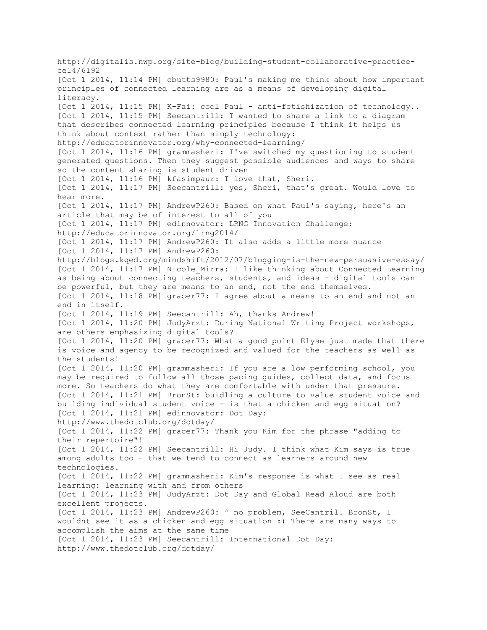http://digitalis.nwp.org/site-blog/building-student-collaborative-practicece14/6192 [Oct 1 2014, 11:14 PM] cbutts9980: Paul's making me think about how important principles of connected learning are as a means of developing digital literacy. [Oct 1 2014, 11:15 PM] K-Fai: cool Paul - anti-fetishization of technology.. [Oct 1 2014, 11:15 PM] Seecantrill: I wanted to share a link to a diagram that describes connected learning principles because I think it helps us think about context rather than simply technology: http://educatorinnovator.org/why-connected-learning/ [Oct 1 2014, 11:16 PM] grammasheri: I've switched my questioning to student generated questions. Then they suggest possible audiences and ways to share so the content sharing is student driven [Oct 1 2014, 11:16 PM] kfasimpaur: I love that, Sheri. [Oct 1 2014, 11:17 PM] Seecantrill: yes, Sheri, that's great. Would love to hear more. [Oct 1 2014, 11:17 PM] AndrewP260: Based on what Paul's saying, here's an article that may be of interest to all of you [Oct 1 2014, 11:17 PM] edinnovator: LRNG Innovation Challenge: http://educatorinnovator.org/lrng2014/ [Oct 1 2014, 11:17 PM] AndrewP260: It also adds a little more nuance [Oct 1 2014, 11:17 PM] AndrewP260: http://blogs.kqed.org/mindshift/2012/07/blogging-is-the-new-persuasive-essay/ [Oct 1 2014, 11:17 PM] Nicole Mirra: I like thinking about Connected Learning as being about connecting teachers, students, and ideas - digital tools can be powerful, but they are means to an end, not the end themselves. [Oct 1 2014, 11:18 PM] gracer77: I agree about a means to an end and not an end in itself. [Oct 1 2014, 11:19 PM] Seecantrill: Ah, thanks Andrew! [Oct 1 2014, 11:20 PM] JudyArzt: During National Writing Project workshops, are others emphasizing digital tools? [Oct 1 2014, 11:20 PM] gracer77: What a good point Elyse just made that there is voice and agency to be recognized and valued for the teachers as well as the students! [Oct 1 2014, 11:20 PM] grammasheri: If you are a low performing school, you may be required to follow all those pacing guides, collect data, and focus more. So teachers do what they are comfortable with under that pressure. [Oct 1 2014, 11:21 PM] BronSt: buidling a culture to value student voice and building individual student voice - is that a chicken and egg situation? [Oct 1 2014, 11:21 PM] edinnovator: Dot Day: http://www.thedotclub.org/dotday/ [Oct 1 2014, 11:22 PM] gracer77: Thank you Kim for the phrase "adding to their repertoire"! [Oct 1 2014, 11:22 PM] Seecantrill: Hi Judy. I think what Kim says is true among adults too - that we tend to connect as learners around new technologies. [Oct 1 2014, 11:22 PM] grammasheri: Kim's response is what I see as real learning: learning with and from others [Oct 1 2014, 11:23 PM] JudyArzt: Dot Day and Global Read Aloud are both excellent projects. [Oct 1 2014, 11:23 PM] AndrewP260: ^ no problem, SeeCantril. BronSt, I wouldnt see it as a chicken and egg situation :) There are many ways to accomplish the aims at the same time [Oct 1 2014, 11:23 PM] Seecantrill: International Dot Day: http://www.thedotclub.org/dotday/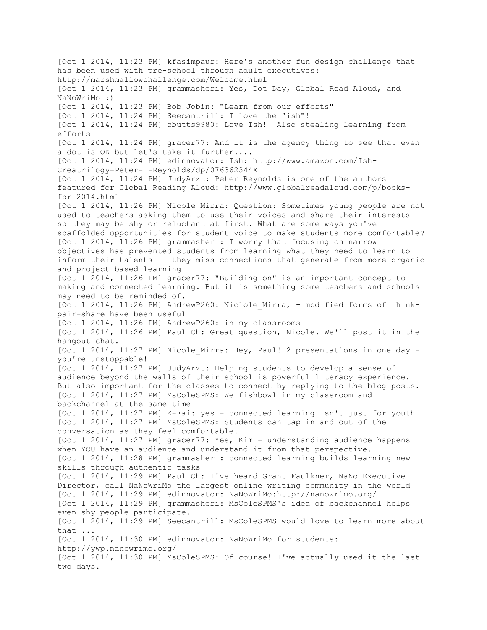[Oct 1 2014, 11:23 PM] kfasimpaur: Here's another fun design challenge that has been used with pre-school through adult executives: http://marshmallowchallenge.com/Welcome.html [Oct 1 2014, 11:23 PM] grammasheri: Yes, Dot Day, Global Read Aloud, and NaNoWriMo :) [Oct 1 2014, 11:23 PM] Bob Jobin: "Learn from our efforts" [Oct 1 2014, 11:24 PM] Seecantrill: I love the "ish"! [Oct 1 2014, 11:24 PM] cbutts9980: Love Ish! Also stealing learning from efforts [Oct 1 2014, 11:24 PM] gracer77: And it is the agency thing to see that even a dot is OK but let's take it further.... [Oct 1 2014, 11:24 PM] edinnovator: Ish: http://www.amazon.com/Ish-Creatrilogy-Peter-H-Reynolds/dp/076362344X [Oct 1 2014, 11:24 PM] JudyArzt: Peter Reynolds is one of the authors featured for Global Reading Aloud: http://www.globalreadaloud.com/p/booksfor-2014.html [Oct 1 2014, 11:26 PM] Nicole Mirra: Question: Sometimes young people are not used to teachers asking them to use their voices and share their interests so they may be shy or reluctant at first. What are some ways you've scaffolded opportunities for student voice to make students more comfortable? [Oct 1 2014, 11:26 PM] grammasheri: I worry that focusing on narrow objectives has prevented students from learning what they need to learn to inform their talents -- they miss connections that generate from more organic and project based learning [Oct 1 2014, 11:26 PM] gracer77: "Building on" is an important concept to making and connected learning. But it is something some teachers and schools may need to be reminded of. [Oct 1 2014, 11:26 PM] AndrewP260: Niclole Mirra, - modified forms of thinkpair-share have been useful [Oct 1 2014, 11:26 PM] AndrewP260: in my classrooms [Oct 1 2014, 11:26 PM] Paul Oh: Great question, Nicole. We'll post it in the hangout chat. [Oct 1 2014, 11:27 PM] Nicole Mirra: Hey, Paul! 2 presentations in one day you're unstoppable! [Oct 1 2014, 11:27 PM] JudyArzt: Helping students to develop a sense of audience beyond the walls of their school is powerful literacy experience. But also important for the classes to connect by replying to the blog posts. [Oct 1 2014, 11:27 PM] MsColeSPMS: We fishbowl in my classroom and backchannel at the same time [Oct 1 2014, 11:27 PM] K-Fai: yes - connected learning isn't just for youth [Oct 1 2014, 11:27 PM] MsColeSPMS: Students can tap in and out of the conversation as they feel comfortable. [Oct 1 2014, 11:27 PM] gracer77: Yes, Kim - understanding audience happens when YOU have an audience and understand it from that perspective. [Oct 1 2014, 11:28 PM] grammasheri: connected learning builds learning new skills through authentic tasks [Oct 1 2014, 11:29 PM] Paul Oh: I've heard Grant Faulkner, NaNo Executive Director, call NaNoWriMo the largest online writing community in the world [Oct 1 2014, 11:29 PM] edinnovator: NaNoWriMo:http://nanowrimo.org/ [Oct 1 2014, 11:29 PM] grammasheri: MsColeSPMS's idea of backchannel helps even shy people participate. [Oct 1 2014, 11:29 PM] Seecantrill: MsColeSPMS would love to learn more about that ... [Oct 1 2014, 11:30 PM] edinnovator: NaNoWriMo for students: http://ywp.nanowrimo.org/ [Oct 1 2014, 11:30 PM] MsColeSPMS: Of course! I've actually used it the last two days.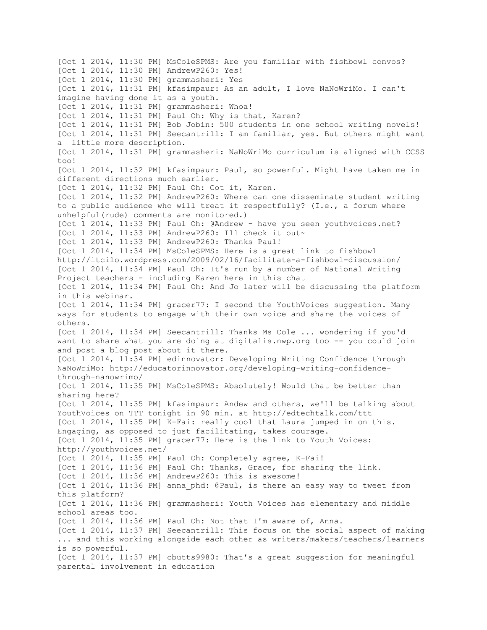[Oct 1 2014, 11:30 PM] MsColeSPMS: Are you familiar with fishbowl convos? [Oct 1 2014, 11:30 PM] AndrewP260: Yes! [Oct 1 2014, 11:30 PM] grammasheri: Yes [Oct 1 2014, 11:31 PM] kfasimpaur: As an adult, I love NaNoWriMo. I can't imagine having done it as a youth. [Oct 1 2014, 11:31 PM] grammasheri: Whoa! [Oct 1 2014, 11:31 PM] Paul Oh: Why is that, Karen? [Oct 1 2014, 11:31 PM] Bob Jobin: 500 students in one school writing novels! [Oct 1 2014, 11:31 PM] Seecantrill: I am familiar, yes. But others might want a little more description. [Oct 1 2014, 11:31 PM] grammasheri: NaNoWriMo curriculum is aligned with CCSS too! [Oct 1 2014, 11:32 PM] kfasimpaur: Paul, so powerful. Might have taken me in different directions much earlier. [Oct 1 2014, 11:32 PM] Paul Oh: Got it, Karen. [Oct 1 2014, 11:32 PM] AndrewP260: Where can one disseminate student writing to a public audience who will treat it respectfully? (I.e., a forum where unhelpful(rude) comments are monitored.) [Oct 1 2014, 11:33 PM] Paul Oh: @Andrew - have you seen youthvoices.net? [Oct 1 2014, 11:33 PM] AndrewP260: Ill check it out~ [Oct 1 2014, 11:33 PM] AndrewP260: Thanks Paul! [Oct 1 2014, 11:34 PM] MsColeSPMS: Here is a great link to fishbowl http://itcilo.wordpress.com/2009/02/16/facilitate-a-fishbowl-discussion/ [Oct 1 2014, 11:34 PM] Paul Oh: It's run by a number of National Writing Project teachers - including Karen here in this chat [Oct 1 2014, 11:34 PM] Paul Oh: And Jo later will be discussing the platform in this webinar. [Oct 1 2014, 11:34 PM] gracer77: I second the YouthVoices suggestion. Many ways for students to engage with their own voice and share the voices of others. [Oct 1 2014, 11:34 PM] Seecantrill: Thanks Ms Cole ... wondering if you'd want to share what you are doing at digitalis.nwp.org too -- you could join and post a blog post about it there. [Oct 1 2014, 11:34 PM] edinnovator: Developing Writing Confidence through NaNoWriMo: http://educatorinnovator.org/developing-writing-confidencethrough-nanowrimo/ [Oct 1 2014, 11:35 PM] MsColeSPMS: Absolutely! Would that be better than sharing here? [Oct 1 2014, 11:35 PM] kfasimpaur: Andew and others, we'll be talking about YouthVoices on TTT tonight in 90 min. at http://edtechtalk.com/ttt [Oct 1 2014, 11:35 PM] K-Fai: really cool that Laura jumped in on this. Engaging, as opposed to just facilitating, takes courage. [Oct 1 2014, 11:35 PM] gracer77: Here is the link to Youth Voices: http://youthvoices.net/ [Oct 1 2014, 11:35 PM] Paul Oh: Completely agree, K-Fai! [Oct 1 2014, 11:36 PM] Paul Oh: Thanks, Grace, for sharing the link. [Oct 1 2014, 11:36 PM] AndrewP260: This is awesome! [Oct 1 2014, 11:36 PM] anna phd: @Paul, is there an easy way to tweet from this platform? [Oct 1 2014, 11:36 PM] grammasheri: Youth Voices has elementary and middle school areas too. [Oct 1 2014, 11:36 PM] Paul Oh: Not that I'm aware of, Anna. [Oct 1 2014, 11:37 PM] Seecantrill: This focus on the social aspect of making ... and this working alongside each other as writers/makers/teachers/learners is so powerful. [Oct 1 2014, 11:37 PM] cbutts9980: That's a great suggestion for meaningful parental involvement in education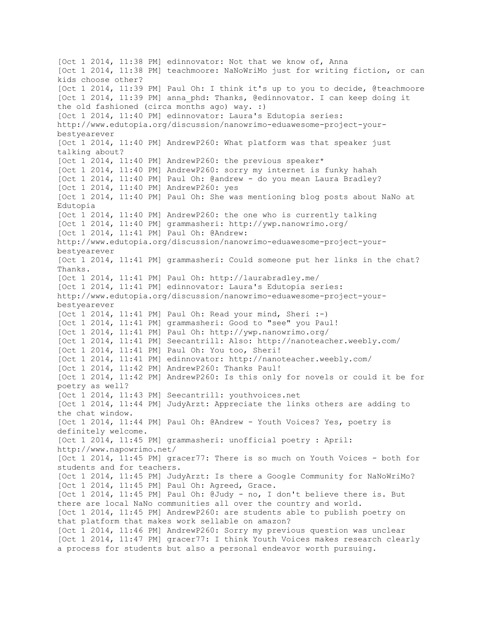[Oct 1 2014, 11:38 PM] edinnovator: Not that we know of, Anna [Oct 1 2014, 11:38 PM] teachmoore: NaNoWriMo just for writing fiction, or can kids choose other? [Oct 1 2014, 11:39 PM] Paul Oh: I think it's up to you to decide, @teachmoore [Oct 1 2014, 11:39 PM] anna phd: Thanks, @edinnovator. I can keep doing it the old fashioned (circa months ago) way. :) [Oct 1 2014, 11:40 PM] edinnovator: Laura's Edutopia series: http://www.edutopia.org/discussion/nanowrimo-eduawesome-project-yourbestyearever [Oct 1 2014, 11:40 PM] AndrewP260: What platform was that speaker just talking about? [Oct 1 2014, 11:40 PM] AndrewP260: the previous speaker\* [Oct 1 2014, 11:40 PM] AndrewP260: sorry my internet is funky hahah [Oct 1 2014, 11:40 PM] Paul Oh: @andrew - do you mean Laura Bradley? [Oct 1 2014, 11:40 PM] AndrewP260: yes [Oct 1 2014, 11:40 PM] Paul Oh: She was mentioning blog posts about NaNo at Edutopia [Oct 1 2014, 11:40 PM] AndrewP260: the one who is currently talking [Oct 1 2014, 11:40 PM] grammasheri: http://ywp.nanowrimo.org/ [Oct 1 2014, 11:41 PM] Paul Oh: @Andrew: http://www.edutopia.org/discussion/nanowrimo-eduawesome-project-yourbestyearever [Oct 1 2014, 11:41 PM] grammasheri: Could someone put her links in the chat? Thanks. [Oct 1 2014, 11:41 PM] Paul Oh: http://laurabradley.me/ [Oct 1 2014, 11:41 PM] edinnovator: Laura's Edutopia series: http://www.edutopia.org/discussion/nanowrimo-eduawesome-project-yourbestyearever [Oct 1 2014, 11:41 PM] Paul Oh: Read your mind, Sheri :-) [Oct 1 2014, 11:41 PM] grammasheri: Good to "see" you Paul! [Oct 1 2014, 11:41 PM] Paul Oh: http://ywp.nanowrimo.org/ [Oct 1 2014, 11:41 PM] Seecantrill: Also: http://nanoteacher.weebly.com/ [Oct 1 2014, 11:41 PM] Paul Oh: You too, Sheri! [Oct 1 2014, 11:41 PM] edinnovator: http://nanoteacher.weebly.com/ [Oct 1 2014, 11:42 PM] AndrewP260: Thanks Paul! [Oct 1 2014, 11:42 PM] AndrewP260: Is this only for novels or could it be for poetry as well? [Oct 1 2014, 11:43 PM] Seecantrill: youthvoices.net [Oct 1 2014, 11:44 PM] JudyArzt: Appreciate the links others are adding to the chat window. [Oct 1 2014, 11:44 PM] Paul Oh: @Andrew - Youth Voices? Yes, poetry is definitely welcome. [Oct 1 2014, 11:45 PM] grammasheri: unofficial poetry : April: http://www.napowrimo.net/ [Oct 1 2014, 11:45 PM] gracer77: There is so much on Youth Voices - both for students and for teachers. [Oct 1 2014, 11:45 PM] JudyArzt: Is there a Google Community for NaNoWriMo? [Oct 1 2014, 11:45 PM] Paul Oh: Agreed, Grace. [Oct 1 2014, 11:45 PM] Paul Oh: @Judy - no, I don't believe there is. But there are local NaNo communities all over the country and world. [Oct 1 2014, 11:45 PM] AndrewP260: are students able to publish poetry on that platform that makes work sellable on amazon? [Oct 1 2014, 11:46 PM] AndrewP260: Sorry my previous question was unclear [Oct 1 2014, 11:47 PM] gracer77: I think Youth Voices makes research clearly a process for students but also a personal endeavor worth pursuing.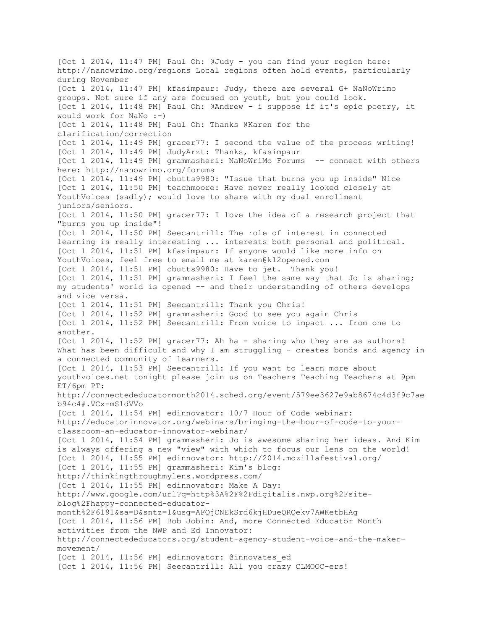[Oct 1 2014, 11:47 PM] Paul Oh: @Judy - you can find your region here: http://nanowrimo.org/regions Local regions often hold events, particularly during November [Oct 1 2014, 11:47 PM] kfasimpaur: Judy, there are several G+ NaNoWrimo groups. Not sure if any are focused on youth, but you could look. [Oct 1 2014, 11:48 PM] Paul Oh: @Andrew - i suppose if it's epic poetry, it would work for NaNo :-) [Oct 1 2014, 11:48 PM] Paul Oh: Thanks @Karen for the clarification/correction [Oct 1 2014, 11:49 PM] gracer77: I second the value of the process writing! [Oct 1 2014, 11:49 PM] JudyArzt: Thanks, kfasimpaur [Oct 1 2014, 11:49 PM] grammasheri: NaNoWriMo Forums -- connect with others here: http://nanowrimo.org/forums [Oct 1 2014, 11:49 PM] cbutts9980: "Issue that burns you up inside" Nice [Oct 1 2014, 11:50 PM] teachmoore: Have never really looked closely at YouthVoices (sadly); would love to share with my dual enrollment juniors/seniors. [Oct 1 2014, 11:50 PM] gracer77: I love the idea of a research project that "burns you up inside"! [Oct 1 2014, 11:50 PM] Seecantrill: The role of interest in connected learning is really interesting ... interests both personal and political. [Oct 1 2014, 11:51 PM] kfasimpaur: If anyone would like more info on YouthVoices, feel free to email me at karen@k12opened.com [Oct 1 2014, 11:51 PM] cbutts9980: Have to jet. Thank you! [Oct 1 2014, 11:51 PM] grammasheri: I feel the same way that Jo is sharing; my students' world is opened -- and their understanding of others develops and vice versa. [Oct 1 2014, 11:51 PM] Seecantrill: Thank you Chris! [Oct 1 2014, 11:52 PM] grammasheri: Good to see you again Chris [Oct 1 2014, 11:52 PM] Seecantrill: From voice to impact ... from one to another. [Oct 1 2014, 11:52 PM] gracer77: Ah ha - sharing who they are as authors! What has been difficult and why I am struggling - creates bonds and agency in a connected community of learners. [Oct 1 2014, 11:53 PM] Seecantrill: If you want to learn more about youthvoices.net tonight please join us on Teachers Teaching Teachers at 9pm ET/6pm PT: http://connectededucatormonth2014.sched.org/event/579ee3627e9ab8674c4d3f9c7ae b94c4#.VCx-mSldVVo [Oct 1 2014, 11:54 PM] edinnovator: 10/7 Hour of Code webinar: http://educatorinnovator.org/webinars/bringing-the-hour-of-code-to-yourclassroom-an-educator-innovator-webinar/ [Oct 1 2014, 11:54 PM] grammasheri: Jo is awesome sharing her ideas. And Kim is always offering a new "view" with which to focus our lens on the world! [Oct 1 2014, 11:55 PM] edinnovator: http://2014.mozillafestival.org/ [Oct 1 2014, 11:55 PM] grammasheri: Kim's blog: http://thinkingthroughmylens.wordpress.com/ [Oct 1 2014, 11:55 PM] edinnovator: Make A Day: http://www.google.com/url?q=http%3A%2F%2Fdigitalis.nwp.org%2Fsiteblog%2Fhappy-connected-educatormonth%2F6191&sa=D&sntz=1&usg=AFQjCNEkSrd6kjHDueQRQekv7AWKetbHAg [Oct 1 2014, 11:56 PM] Bob Jobin: And, more Connected Educator Month activities from the NWP and Ed Innovator: http://connectededucators.org/student-agency-student-voice-and-the-makermovement/ [Oct 1 2014, 11:56 PM] edinnovator: @innovates ed [Oct 1 2014, 11:56 PM] Seecantrill: All you crazy CLMOOC-ers!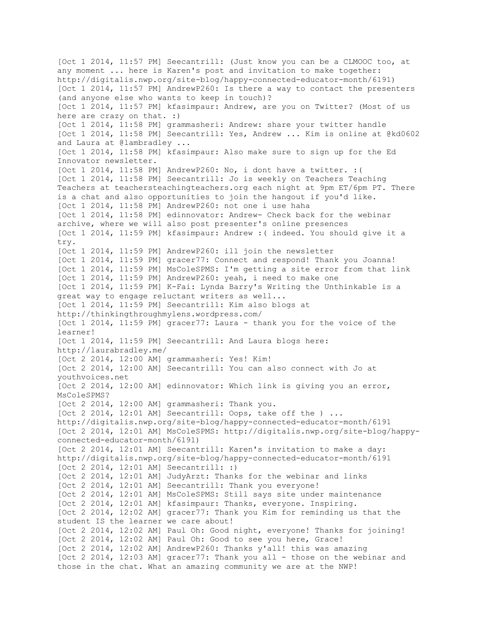[Oct 1 2014, 11:57 PM] Seecantrill: (Just know you can be a CLMOOC too, at any moment ... here is Karen's post and invitation to make together: http://digitalis.nwp.org/site-blog/happy-connected-educator-month/6191) [Oct 1 2014, 11:57 PM] AndrewP260: Is there a way to contact the presenters (and anyone else who wants to keep in touch)? [Oct 1 2014, 11:57 PM] kfasimpaur: Andrew, are you on Twitter? (Most of us here are crazy on that. :) [Oct 1 2014, 11:58 PM] grammasheri: Andrew: share your twitter handle [Oct 1 2014, 11:58 PM] Seecantrill: Yes, Andrew ... Kim is online at @kd0602 and Laura at @lambradley ... [Oct 1 2014, 11:58 PM] kfasimpaur: Also make sure to sign up for the Ed Innovator newsletter. [Oct 1 2014, 11:58 PM] AndrewP260: No, i dont have a twitter. :( [Oct 1 2014, 11:58 PM] Seecantrill: Jo is weekly on Teachers Teaching Teachers at teachersteachingteachers.org each night at 9pm ET/6pm PT. There is a chat and also opportunities to join the hangout if you'd like. [Oct 1 2014, 11:58 PM] AndrewP260: not one i use haha [Oct 1 2014, 11:58 PM] edinnovator: Andrew- Check back for the webinar archive, where we will also post presenter's online presences [Oct 1 2014, 11:59 PM] kfasimpaur: Andrew :( indeed. You should give it a try. [Oct 1 2014, 11:59 PM] AndrewP260: ill join the newsletter [Oct 1 2014, 11:59 PM] gracer77: Connect and respond! Thank you Joanna! [Oct 1 2014, 11:59 PM] MsColeSPMS: I'm getting a site error from that link [Oct 1 2014, 11:59 PM] AndrewP260: yeah, i need to make one [Oct 1 2014, 11:59 PM] K-Fai: Lynda Barry's Writing the Unthinkable is a great way to engage reluctant writers as well... [Oct 1 2014, 11:59 PM] Seecantrill: Kim also blogs at http://thinkingthroughmylens.wordpress.com/ [Oct 1 2014, 11:59 PM] gracer77: Laura - thank you for the voice of the learner! [Oct 1 2014, 11:59 PM] Seecantrill: And Laura blogs here: http://laurabradley.me/ [Oct 2 2014, 12:00 AM] grammasheri: Yes! Kim! [Oct 2 2014, 12:00 AM] Seecantrill: You can also connect with Jo at youthvoices.net [Oct 2 2014, 12:00 AM] edinnovator: Which link is giving you an error, MsColeSPMS? [Oct 2 2014, 12:00 AM] grammasheri: Thank you.  $[Oct 2 2014, 12:01 AM]$  Seecantrill: Oops, take off the  $).$ ... http://digitalis.nwp.org/site-blog/happy-connected-educator-month/6191 [Oct 2 2014, 12:01 AM] MsColeSPMS: http://digitalis.nwp.org/site-blog/happyconnected-educator-month/6191) [Oct 2 2014, 12:01 AM] Seecantrill: Karen's invitation to make a day: http://digitalis.nwp.org/site-blog/happy-connected-educator-month/6191 [Oct 2 2014, 12:01 AM] Seecantrill: :) [Oct 2 2014, 12:01 AM] JudyArzt: Thanks for the webinar and links [Oct 2 2014, 12:01 AM] Seecantrill: Thank you everyone! [Oct 2 2014, 12:01 AM] MsColeSPMS: Still says site under maintenance [Oct 2 2014, 12:01 AM] kfasimpaur: Thanks, everyone. Inspiring. [Oct 2 2014, 12:02 AM] gracer77: Thank you Kim for reminding us that the student IS the learner we care about! [Oct 2 2014, 12:02 AM] Paul Oh: Good night, everyone! Thanks for joining! [Oct 2 2014, 12:02 AM] Paul Oh: Good to see you here, Grace! [Oct 2 2014, 12:02 AM] AndrewP260: Thanks y'all! this was amazing [Oct 2 2014, 12:03 AM] gracer77: Thank you all - those on the webinar and those in the chat. What an amazing community we are at the NWP!